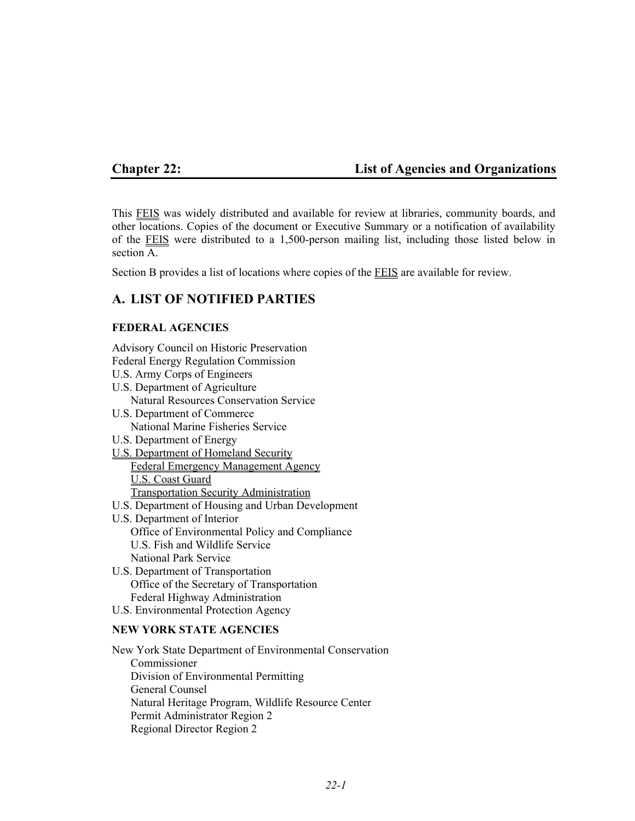# **Chapter 22: List of Agencies and Organizations**

This FEIS was widely distributed and available for review at libraries, community boards, and other locations. Copies of the document or Executive Summary or a notification of availability of the FEIS were distributed to a 1,500-person mailing list, including those listed below in section A.

Section B provides a list of locations where copies of the FEIS are available for review.

# **A. LIST OF NOTIFIED PARTIES**

# **FEDERAL AGENCIES**

Advisory Council on Historic Preservation Federal Energy Regulation Commission

U.S. Army Corps of Engineers

U.S. Department of Agriculture Natural Resources Conservation Service

- U.S. Department of Commerce National Marine Fisheries Service
- U.S. Department of Energy
- U.S. Department of Homeland Security Federal Emergency Management Agency U.S. Coast Guard Transportation Security Administration
- U.S. Department of Housing and Urban Development
- U.S. Department of Interior Office of Environmental Policy and Compliance U.S. Fish and Wildlife Service National Park Service
- U.S. Department of Transportation Office of the Secretary of Transportation Federal Highway Administration
- U.S. Environmental Protection Agency

# **NEW YORK STATE AGENCIES**

New York State Department of Environmental Conservation Commissioner Division of Environmental Permitting General Counsel Natural Heritage Program, Wildlife Resource Center Permit Administrator Region 2 Regional Director Region 2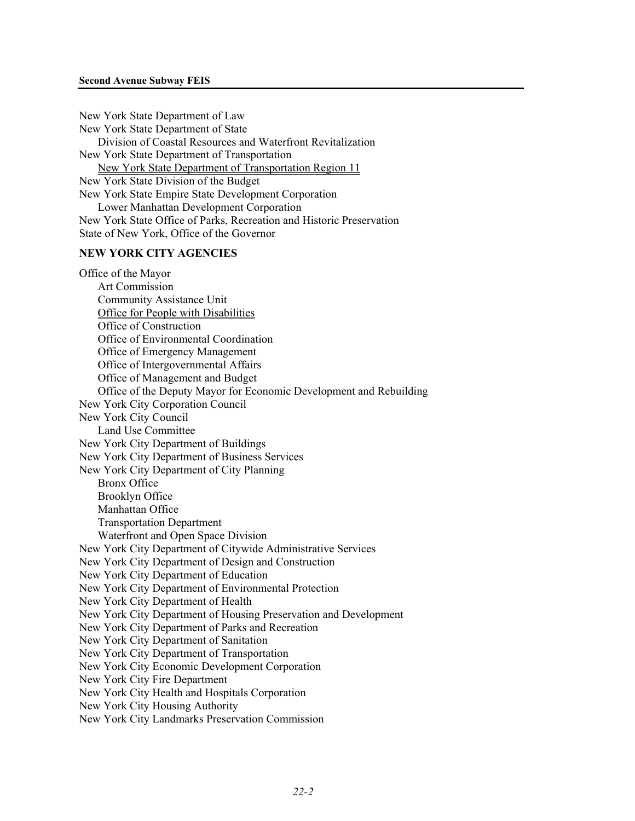#### **Second Avenue Subway FEIS**

New York State Department of Law New York State Department of State Division of Coastal Resources and Waterfront Revitalization New York State Department of Transportation New York State Department of Transportation Region 11 New York State Division of the Budget New York State Empire State Development Corporation Lower Manhattan Development Corporation New York State Office of Parks, Recreation and Historic Preservation State of New York, Office of the Governor

### **NEW YORK CITY AGENCIES**

Office of the Mayor Art Commission Community Assistance Unit Office for People with Disabilities Office of Construction Office of Environmental Coordination Office of Emergency Management Office of Intergovernmental Affairs Office of Management and Budget Office of the Deputy Mayor for Economic Development and Rebuilding New York City Corporation Council New York City Council Land Use Committee New York City Department of Buildings New York City Department of Business Services New York City Department of City Planning Bronx Office Brooklyn Office Manhattan Office Transportation Department Waterfront and Open Space Division New York City Department of Citywide Administrative Services New York City Department of Design and Construction New York City Department of Education New York City Department of Environmental Protection New York City Department of Health New York City Department of Housing Preservation and Development New York City Department of Parks and Recreation New York City Department of Sanitation New York City Department of Transportation New York City Economic Development Corporation New York City Fire Department New York City Health and Hospitals Corporation New York City Housing Authority New York City Landmarks Preservation Commission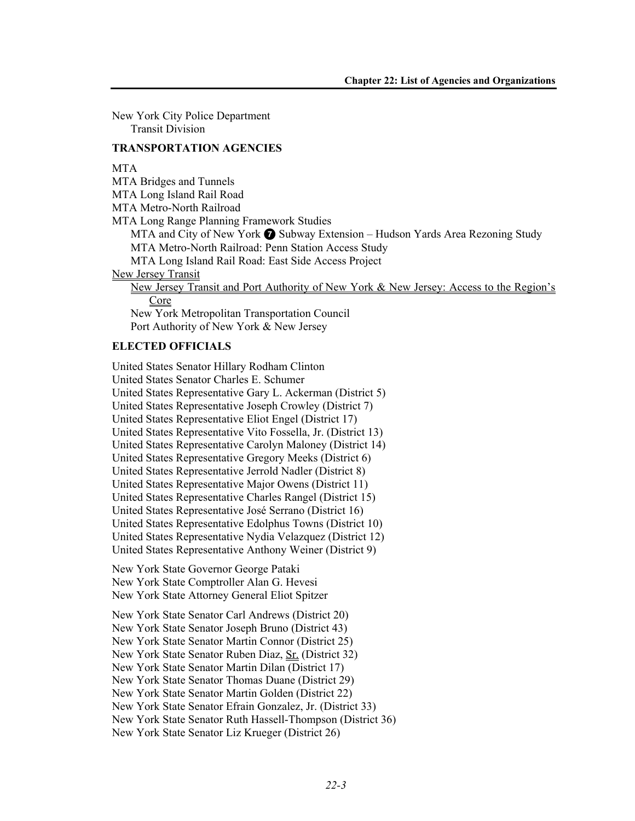New York City Police Department Transit Division

### **TRANSPORTATION AGENCIES**

### **MTA**

MTA Bridges and Tunnels

MTA Long Island Rail Road

MTA Metro-North Railroad

MTA Long Range Planning Framework Studies

MTA and City of New York  $\bigcirc$  Subway Extension – Hudson Yards Area Rezoning Study MTA Metro-North Railroad: Penn Station Access Study

MTA Long Island Rail Road: East Side Access Project

New Jersey Transit

New Jersey Transit and Port Authority of New York & New Jersey: Access to the Region's **Core** 

New York Metropolitan Transportation Council Port Authority of New York & New Jersey

### **ELECTED OFFICIALS**

United States Senator Hillary Rodham Clinton United States Senator Charles E. Schumer United States Representative Gary L. Ackerman (District 5) United States Representative Joseph Crowley (District 7) United States Representative Eliot Engel (District 17) United States Representative Vito Fossella, Jr. (District 13) United States Representative Carolyn Maloney (District 14) United States Representative Gregory Meeks (District 6) United States Representative Jerrold Nadler (District 8) United States Representative Major Owens (District 11) United States Representative Charles Rangel (District 15) United States Representative José Serrano (District 16) United States Representative Edolphus Towns (District 10) United States Representative Nydia Velazquez (District 12) United States Representative Anthony Weiner (District 9) New York State Governor George Pataki New York State Comptroller Alan G. Hevesi New York State Attorney General Eliot Spitzer New York State Senator Carl Andrews (District 20) New York State Senator Joseph Bruno (District 43) New York State Senator Martin Connor (District 25) New York State Senator Ruben Diaz, Sr. (District 32) New York State Senator Martin Dilan (District 17) New York State Senator Thomas Duane (District 29) New York State Senator Martin Golden (District 22) New York State Senator Efrain Gonzalez, Jr. (District 33) New York State Senator Ruth Hassell-Thompson (District 36) New York State Senator Liz Krueger (District 26)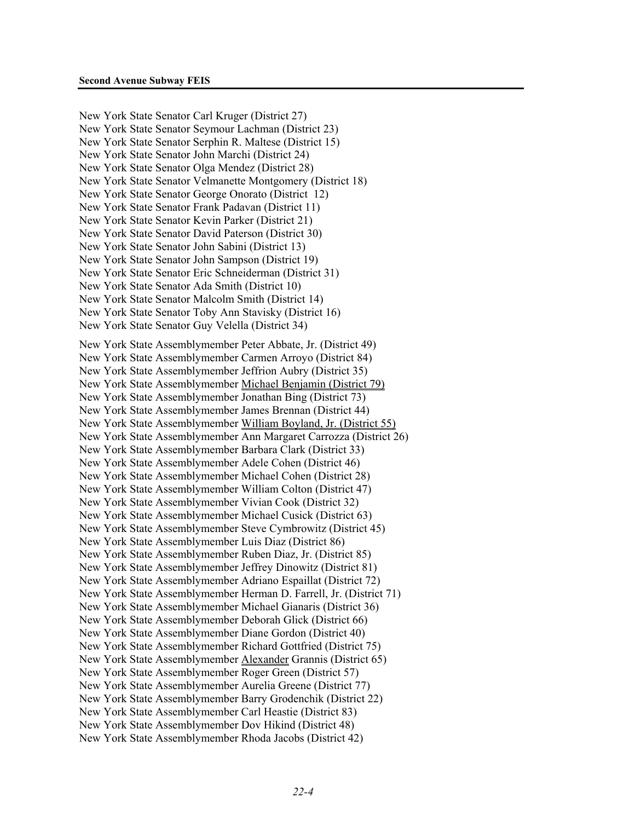New York State Senator Carl Kruger (District 27) New York State Senator Seymour Lachman (District 23) New York State Senator Serphin R. Maltese (District 15) New York State Senator John Marchi (District 24) New York State Senator Olga Mendez (District 28) New York State Senator Velmanette Montgomery (District 18) New York State Senator George Onorato (District 12) New York State Senator Frank Padavan (District 11) New York State Senator Kevin Parker (District 21) New York State Senator David Paterson (District 30) New York State Senator John Sabini (District 13) New York State Senator John Sampson (District 19) New York State Senator Eric Schneiderman (District 31) New York State Senator Ada Smith (District 10) New York State Senator Malcolm Smith (District 14) New York State Senator Toby Ann Stavisky (District 16) New York State Senator Guy Velella (District 34) New York State Assemblymember Peter Abbate, Jr. (District 49) New York State Assemblymember Carmen Arroyo (District 84) New York State Assemblymember Jeffrion Aubry (District 35) New York State Assemblymember Michael Benjamin (District 79) New York State Assemblymember Jonathan Bing (District 73) New York State Assemblymember James Brennan (District 44) New York State Assemblymember William Boyland, Jr. (District 55) New York State Assemblymember Ann Margaret Carrozza (District 26) New York State Assemblymember Barbara Clark (District 33) New York State Assemblymember Adele Cohen (District 46) New York State Assemblymember Michael Cohen (District 28) New York State Assemblymember William Colton (District 47) New York State Assemblymember Vivian Cook (District 32) New York State Assemblymember Michael Cusick (District 63) New York State Assemblymember Steve Cymbrowitz (District 45) New York State Assemblymember Luis Diaz (District 86) New York State Assemblymember Ruben Diaz, Jr. (District 85) New York State Assemblymember Jeffrey Dinowitz (District 81) New York State Assemblymember Adriano Espaillat (District 72) New York State Assemblymember Herman D. Farrell, Jr. (District 71) New York State Assemblymember Michael Gianaris (District 36) New York State Assemblymember Deborah Glick (District 66) New York State Assemblymember Diane Gordon (District 40) New York State Assemblymember Richard Gottfried (District 75) New York State Assemblymember Alexander Grannis (District 65) New York State Assemblymember Roger Green (District 57) New York State Assemblymember Aurelia Greene (District 77) New York State Assemblymember Barry Grodenchik (District 22) New York State Assemblymember Carl Heastie (District 83) New York State Assemblymember Dov Hikind (District 48) New York State Assemblymember Rhoda Jacobs (District 42)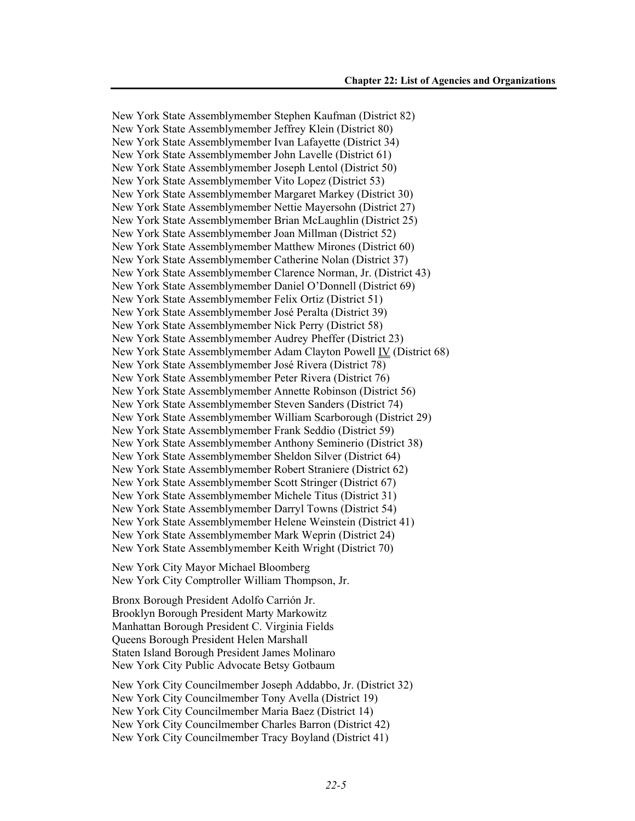New York State Assemblymember Stephen Kaufman (District 82) New York State Assemblymember Jeffrey Klein (District 80) New York State Assemblymember Ivan Lafayette (District 34) New York State Assemblymember John Lavelle (District 61) New York State Assemblymember Joseph Lentol (District 50) New York State Assemblymember Vito Lopez (District 53) New York State Assemblymember Margaret Markey (District 30) New York State Assemblymember Nettie Mayersohn (District 27) New York State Assemblymember Brian McLaughlin (District 25) New York State Assemblymember Joan Millman (District 52) New York State Assemblymember Matthew Mirones (District 60) New York State Assemblymember Catherine Nolan (District 37) New York State Assemblymember Clarence Norman, Jr. (District 43) New York State Assemblymember Daniel O'Donnell (District 69) New York State Assemblymember Felix Ortiz (District 51) New York State Assemblymember José Peralta (District 39) New York State Assemblymember Nick Perry (District 58) New York State Assemblymember Audrey Pheffer (District 23) New York State Assemblymember Adam Clayton Powell IV (District 68) New York State Assemblymember José Rivera (District 78) New York State Assemblymember Peter Rivera (District 76) New York State Assemblymember Annette Robinson (District 56) New York State Assemblymember Steven Sanders (District 74) New York State Assemblymember William Scarborough (District 29) New York State Assemblymember Frank Seddio (District 59) New York State Assemblymember Anthony Seminerio (District 38) New York State Assemblymember Sheldon Silver (District 64) New York State Assemblymember Robert Straniere (District 62) New York State Assemblymember Scott Stringer (District 67) New York State Assemblymember Michele Titus (District 31) New York State Assemblymember Darryl Towns (District 54) New York State Assemblymember Helene Weinstein (District 41) New York State Assemblymember Mark Weprin (District 24) New York State Assemblymember Keith Wright (District 70) New York City Mayor Michael Bloomberg New York City Comptroller William Thompson, Jr. Bronx Borough President Adolfo Carrión Jr. Brooklyn Borough President Marty Markowitz Manhattan Borough President C. Virginia Fields Queens Borough President Helen Marshall Staten Island Borough President James Molinaro New York City Public Advocate Betsy Gotbaum New York City Councilmember Joseph Addabbo, Jr. (District 32) New York City Councilmember Tony Avella (District 19)

New York City Councilmember Maria Baez (District 14) New York City Councilmember Charles Barron (District 42)

New York City Councilmember Tracy Boyland (District 41)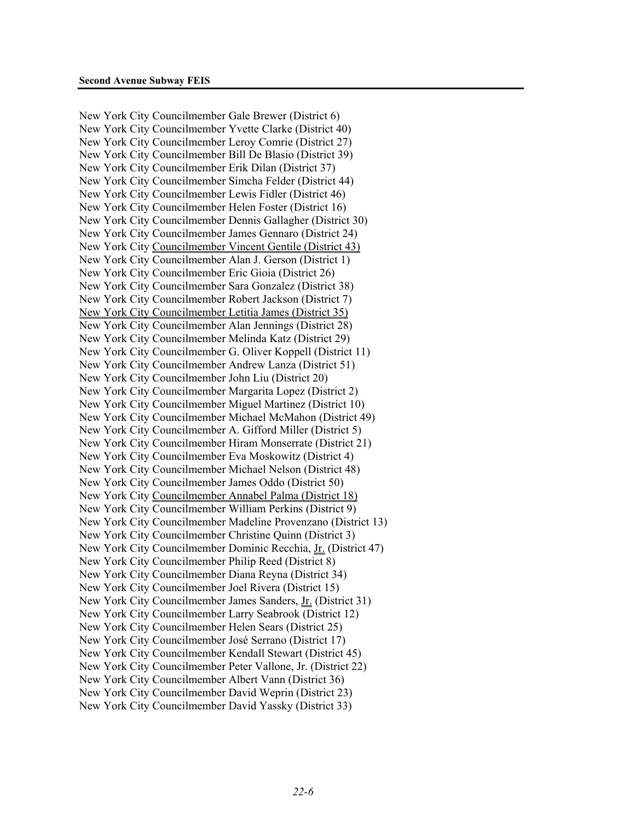New York City Councilmember Gale Brewer (District 6) New York City Councilmember Yvette Clarke (District 40) New York City Councilmember Leroy Comrie (District 27) New York City Councilmember Bill De Blasio (District 39) New York City Councilmember Erik Dilan (District 37) New York City Councilmember Simcha Felder (District 44) New York City Councilmember Lewis Fidler (District 46) New York City Councilmember Helen Foster (District 16) New York City Councilmember Dennis Gallagher (District 30) New York City Councilmember James Gennaro (District 24) New York City Councilmember Vincent Gentile (District 43) New York City Councilmember Alan J. Gerson (District 1) New York City Councilmember Eric Gioia (District 26) New York City Councilmember Sara Gonzalez (District 38) New York City Councilmember Robert Jackson (District 7) New York City Councilmember Letitia James (District 35) New York City Councilmember Alan Jennings (District 28) New York City Councilmember Melinda Katz (District 29) New York City Councilmember G. Oliver Koppell (District 11) New York City Councilmember Andrew Lanza (District 51) New York City Councilmember John Liu (District 20) New York City Councilmember Margarita Lopez (District 2) New York City Councilmember Miguel Martinez (District 10) New York City Councilmember Michael McMahon (District 49) New York City Councilmember A. Gifford Miller (District 5) New York City Councilmember Hiram Monserrate (District 21) New York City Councilmember Eva Moskowitz (District 4) New York City Councilmember Michael Nelson (District 48) New York City Councilmember James Oddo (District 50) New York City Councilmember Annabel Palma (District 18) New York City Councilmember William Perkins (District 9) New York City Councilmember Madeline Provenzano (District 13) New York City Councilmember Christine Quinn (District 3) New York City Councilmember Dominic Recchia, Jr. (District 47) New York City Councilmember Philip Reed (District 8) New York City Councilmember Diana Reyna (District 34) New York City Councilmember Joel Rivera (District 15) New York City Councilmember James Sanders, Jr. (District 31) New York City Councilmember Larry Seabrook (District 12) New York City Councilmember Helen Sears (District 25) New York City Councilmember José Serrano (District 17) New York City Councilmember Kendall Stewart (District 45) New York City Councilmember Peter Vallone, Jr. (District 22) New York City Councilmember Albert Vann (District 36) New York City Councilmember David Weprin (District 23) New York City Councilmember David Yassky (District 33)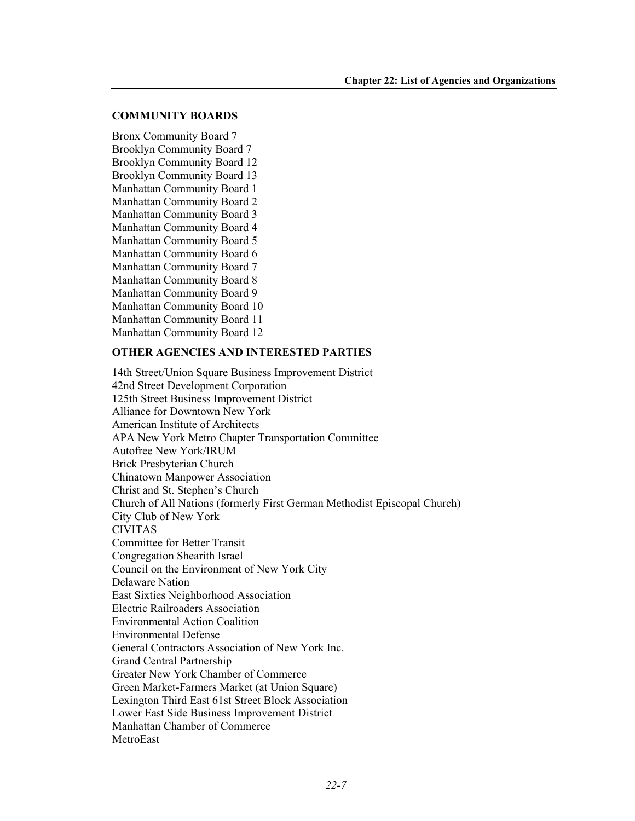### **COMMUNITY BOARDS**

Bronx Community Board 7 Brooklyn Community Board 7 Brooklyn Community Board 12 Brooklyn Community Board 13 Manhattan Community Board 1 Manhattan Community Board 2 Manhattan Community Board 3 Manhattan Community Board 4 Manhattan Community Board 5 Manhattan Community Board 6 Manhattan Community Board 7 Manhattan Community Board 8 Manhattan Community Board 9 Manhattan Community Board 10 Manhattan Community Board 11 Manhattan Community Board 12

# **OTHER AGENCIES AND INTERESTED PARTIES**

14th Street/Union Square Business Improvement District 42nd Street Development Corporation 125th Street Business Improvement District Alliance for Downtown New York American Institute of Architects APA New York Metro Chapter Transportation Committee Autofree New York/IRUM Brick Presbyterian Church Chinatown Manpower Association Christ and St. Stephen's Church Church of All Nations (formerly First German Methodist Episcopal Church) City Club of New York CIVITAS Committee for Better Transit Congregation Shearith Israel Council on the Environment of New York City Delaware Nation East Sixties Neighborhood Association Electric Railroaders Association Environmental Action Coalition Environmental Defense General Contractors Association of New York Inc. Grand Central Partnership Greater New York Chamber of Commerce Green Market-Farmers Market (at Union Square) Lexington Third East 61st Street Block Association Lower East Side Business Improvement District Manhattan Chamber of Commerce **MetroEast**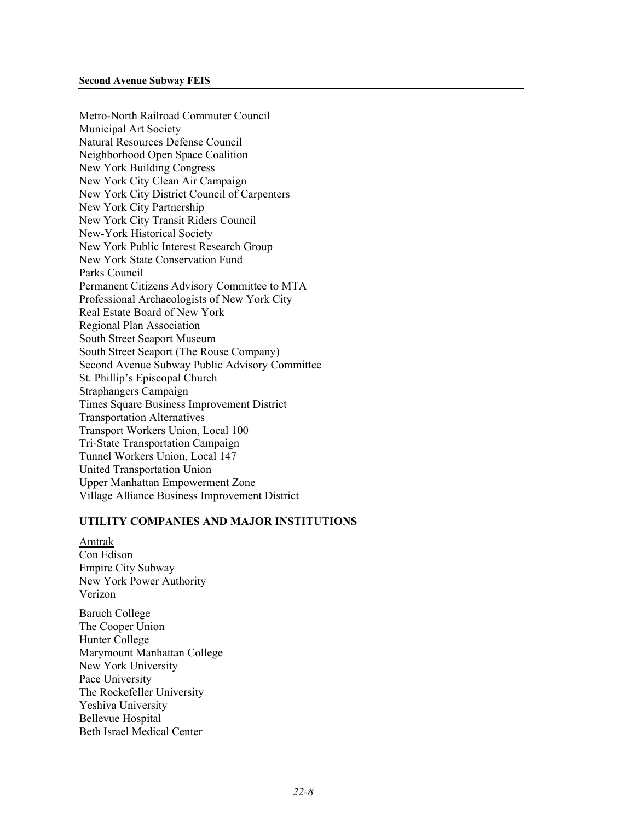Metro-North Railroad Commuter Council Municipal Art Society Natural Resources Defense Council Neighborhood Open Space Coalition New York Building Congress New York City Clean Air Campaign New York City District Council of Carpenters New York City Partnership New York City Transit Riders Council New-York Historical Society New York Public Interest Research Group New York State Conservation Fund Parks Council Permanent Citizens Advisory Committee to MTA Professional Archaeologists of New York City Real Estate Board of New York Regional Plan Association South Street Seaport Museum South Street Seaport (The Rouse Company) Second Avenue Subway Public Advisory Committee St. Phillip's Episcopal Church Straphangers Campaign Times Square Business Improvement District Transportation Alternatives Transport Workers Union, Local 100 Tri-State Transportation Campaign Tunnel Workers Union, Local 147 United Transportation Union Upper Manhattan Empowerment Zone Village Alliance Business Improvement District

# **UTILITY COMPANIES AND MAJOR INSTITUTIONS**

Amtrak Con Edison Empire City Subway New York Power Authority Verizon

Baruch College The Cooper Union Hunter College Marymount Manhattan College New York University Pace University The Rockefeller University Yeshiva University Bellevue Hospital Beth Israel Medical Center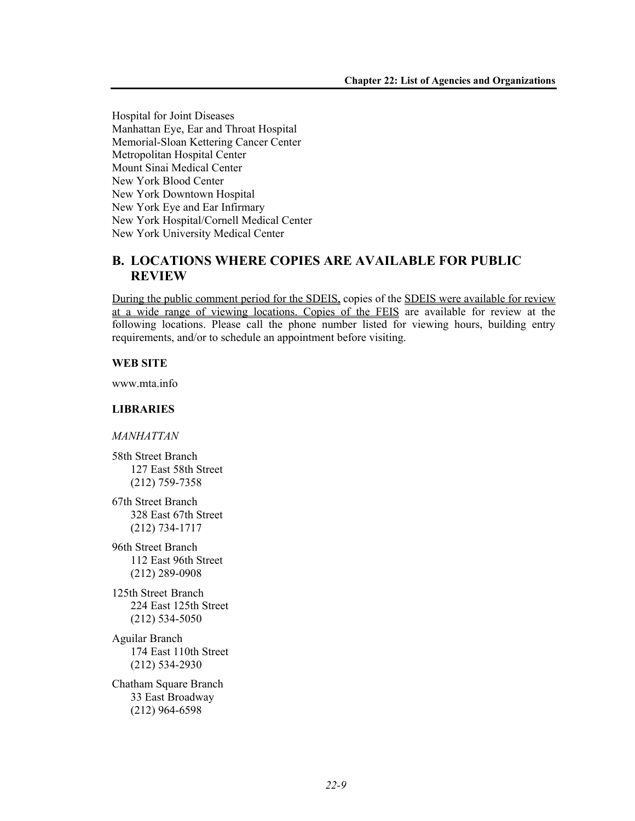Hospital for Joint Diseases Manhattan Eye, Ear and Throat Hospital Memorial-Sloan Kettering Cancer Center Metropolitan Hospital Center Mount Sinai Medical Center New York Blood Center New York Downtown Hospital New York Eye and Ear Infirmary New York Hospital/Cornell Medical Center New York University Medical Center

# **B. LOCATIONS WHERE COPIES ARE AVAILABLE FOR PUBLIC REVIEW**

During the public comment period for the SDEIS, copies of the SDEIS were available for review at a wide range of viewing locations. Copies of the FEIS are available for review at the following locations. Please call the phone number listed for viewing hours, building entry requirements, and/or to schedule an appointment before visiting.

# **WEB SITE**

www.mta.info

# **LIBRARIES**

*MANHATTAN* 

58th Street Branch 127 East 58th Street (212) 759-7358

67th Street Branch 328 East 67th Street (212) 734-1717

96th Street Branch 112 East 96th Street (212) 289-0908

125th Street Branch 224 East 125th Street (212) 534-5050

Aguilar Branch 174 East 110th Street (212) 534-2930

Chatham Square Branch 33 East Broadway (212) 964-6598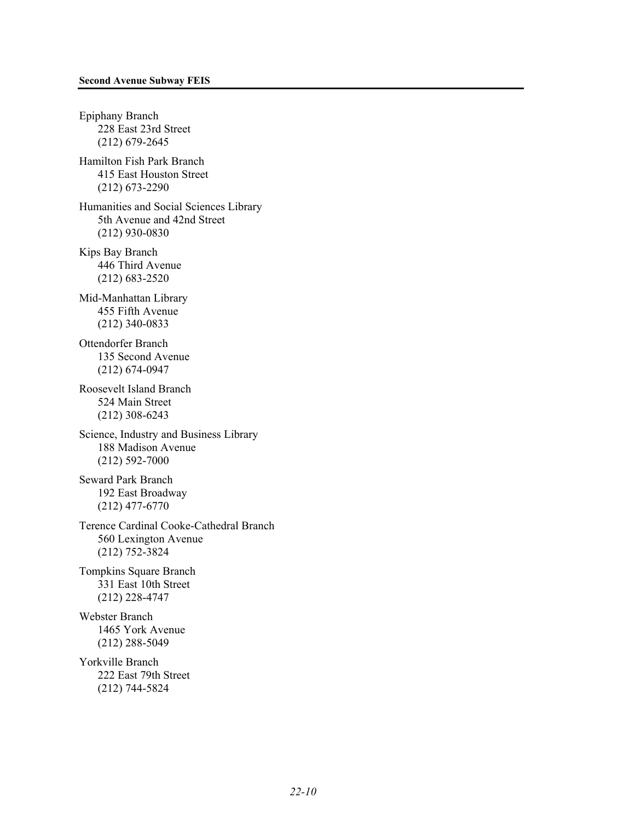Epiphany Branch 228 East 23rd Street (212) 679-2645 Hamilton Fish Park Branch 415 East Houston Street (212) 673-2290 Humanities and Social Sciences Library 5th Avenue and 42nd Street (212) 930-0830 Kips Bay Branch 446 Third Avenue (212) 683-2520 Mid-Manhattan Library 455 Fifth Avenue (212) 340-0833 Ottendorfer Branch 135 Second Avenue (212) 674-0947 Roosevelt Island Branch 524 Main Street (212) 308-6243 Science, Industry and Business Library 188 Madison Avenue (212) 592-7000 Seward Park Branch 192 East Broadway (212) 477-6770 Terence Cardinal Cooke-Cathedral Branch 560 Lexington Avenue (212) 752-3824 Tompkins Square Branch 331 East 10th Street (212) 228-4747 Webster Branch 1465 York Avenue (212) 288-5049 Yorkville Branch 222 East 79th Street (212) 744-5824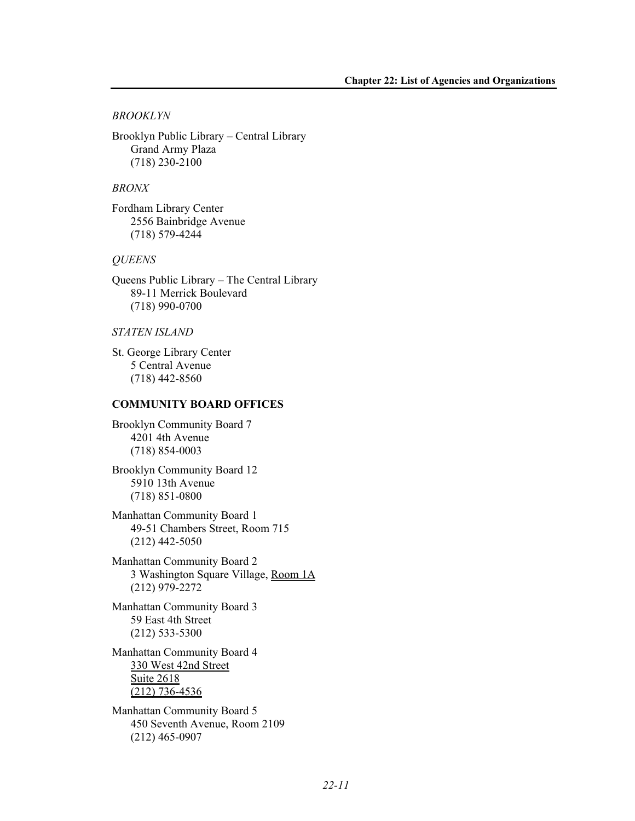### *BROOKLYN*

Brooklyn Public Library – Central Library Grand Army Plaza (718) 230-2100

### *BRONX*

Fordham Library Center 2556 Bainbridge Avenue (718) 579-4244

#### *QUEENS*

Queens Public Library – The Central Library 89-11 Merrick Boulevard (718) 990-0700

### *STATEN ISLAND*

St. George Library Center 5 Central Avenue (718) 442-8560

### **COMMUNITY BOARD OFFICES**

Brooklyn Community Board 7 4201 4th Avenue (718) 854-0003

Brooklyn Community Board 12 5910 13th Avenue (718) 851-0800

Manhattan Community Board 1 49-51 Chambers Street, Room 715 (212) 442-5050

Manhattan Community Board 2 3 Washington Square Village, Room 1A (212) 979-2272

Manhattan Community Board 3 59 East 4th Street (212) 533-5300

Manhattan Community Board 4 330 West 42nd Street Suite 2618 (212) 736-4536

Manhattan Community Board 5 450 Seventh Avenue, Room 2109 (212) 465-0907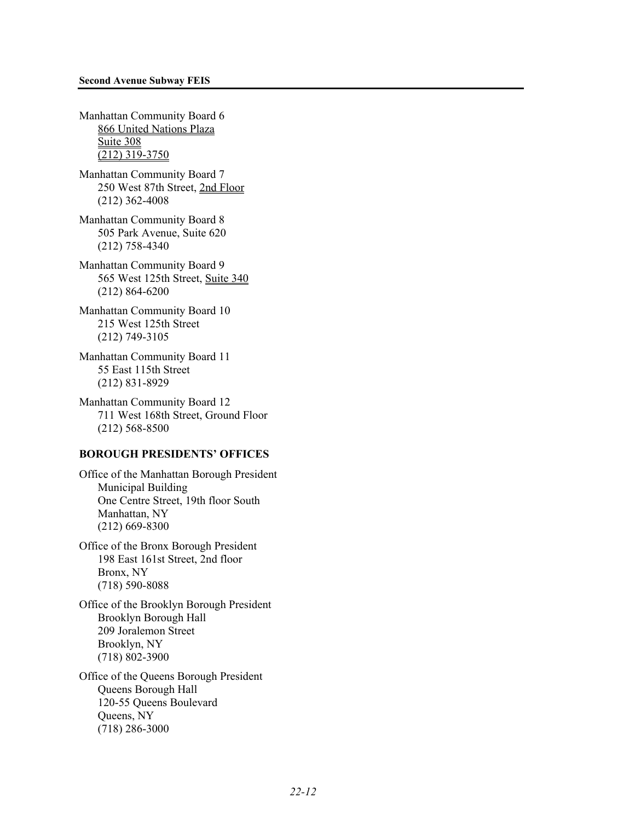Manhattan Community Board 6 866 United Nations Plaza Suite 308 (212) 319-3750

Manhattan Community Board 7 250 West 87th Street, 2nd Floor (212) 362-4008

Manhattan Community Board 8 505 Park Avenue, Suite 620 (212) 758-4340

Manhattan Community Board 9 565 West 125th Street, Suite 340 (212) 864-6200

Manhattan Community Board 10 215 West 125th Street (212) 749-3105

Manhattan Community Board 11 55 East 115th Street (212) 831-8929

Manhattan Community Board 12 711 West 168th Street, Ground Floor (212) 568-8500

### **BOROUGH PRESIDENTS' OFFICES**

Office of the Manhattan Borough President Municipal Building One Centre Street, 19th floor South Manhattan, NY (212) 669-8300

Office of the Bronx Borough President 198 East 161st Street, 2nd floor Bronx, NY (718) 590-8088

Office of the Brooklyn Borough President Brooklyn Borough Hall 209 Joralemon Street Brooklyn, NY (718) 802-3900

Office of the Queens Borough President Queens Borough Hall 120-55 Queens Boulevard Queens, NY (718) 286-3000